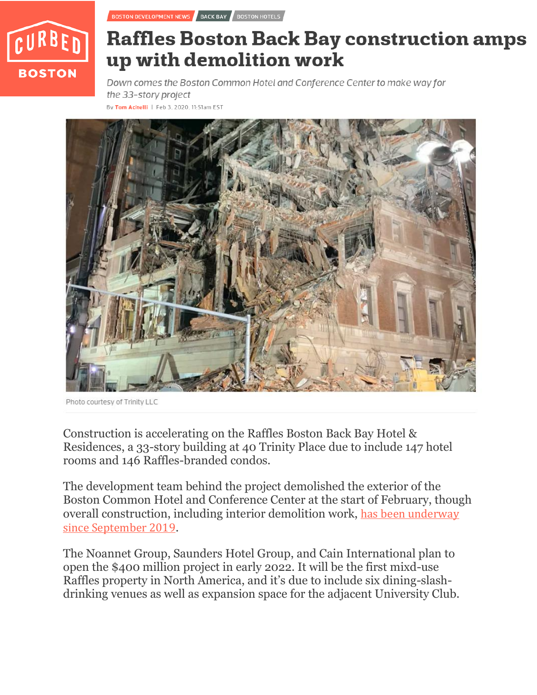

BOSTON DEVELOPMENT NEWS BACK BAY BOSTON HOTELS

## **Raffles Boston Back Bay construction amps** up with demolition work

Down comes the Boston Common Hotel and Conference Center to make way for the 33-story project By Tom Acitelli | Feb 3, 2020, 11:51am EST



Photo courtesy of Trinity LLC

Construction is accelerating on the Raffles Boston Back Bay Hotel & Residences, a 33-story building at 40 Trinity Place due to include 147 hotel rooms and 146 Raffles-branded condos.

The development team behind the project demolished the exterior of the Boston Common Hotel and Conference Center at the start of February, though overall construction, including interior demolition work, [has been underway](https://boston.curbed.com/boston-development/2019/9/20/20874528/raffles-hotel-boston)  [since September 2019](https://boston.curbed.com/boston-development/2019/9/20/20874528/raffles-hotel-boston).

The Noannet Group, Saunders Hotel Group, and Cain International plan to open the \$400 million project in early 2022. It will be the first mixd-use Raffles property in North America, and it's due to include six dining-slashdrinking venues as well as expansion space for the adjacent University Club.